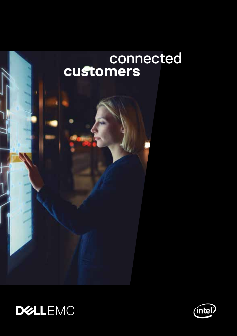



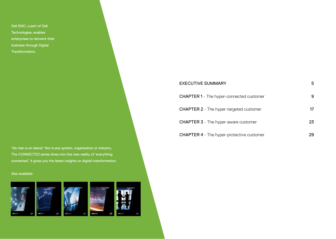Dell EMC, a part of Dell Technologies, enables enterprises to reinvent their business through Digital Transformation.

'No man is an island.' Nor is any system, organization or industry. The CONNECTED series dives into this new reality of 'everything connected'. It gives you the latest insights on digital transformation.

#### Also available:



| EXECUTIVE SUMMARY                                | 5  |
|--------------------------------------------------|----|
| <b>CHAPTER 1</b> - The hyper-connected customer  | 9  |
| <b>CHAPTER 2</b> - The hyper-targeted customer   | 17 |
| <b>CHAPTER 3</b> - The hyper-aware customer      | 23 |
| <b>CHAPTER 4</b> - The hyper-protective customer | 29 |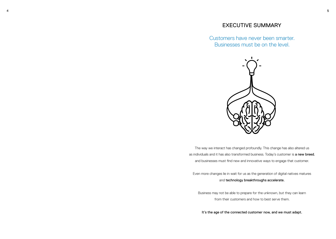#### EXECUTIVE SUMMARY

Customers have never been smarter. Businesses must be on the level.



The way we interact has changed profoundly. This change has also altered us as individuals and it has also transformed business. Today's customer is a new breed, and businesses must find new and innovative ways to engage that customer.

Even more changes lie in wait for us as the generation of digital natives matures and technology breakthroughs accelerate.

Business may not be able to prepare for the unknown, but they can learn from their customers and how to best serve them.

It's the age of the connected customer now, and we must adapt.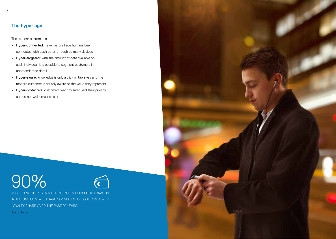6

The modern customer is:

- **•** Hyper-connected: never before have humans been connected with each other through so many devices
- **•** Hyper-targeted: with the amount of data available on each individual, it is possible to segment customers in unprecedented detail
- **•** Hyper-aware: knowledge is only a click or tap away and the modern customer is acutely aware of the value they represent
- **•** Hyper-protective: customers want to safeguard their privacy and do not welcome intrusion

# 90%



ACCORDING TO RESEARCH, NINE IN TEN HOUSEHOLD BRANDS IN THE UNITED STATES HAVE CONSISTENTLY LOST CUSTOMER LOYALTY SHARE OVER THE PAST 20 YEARS.

Source: Forbes

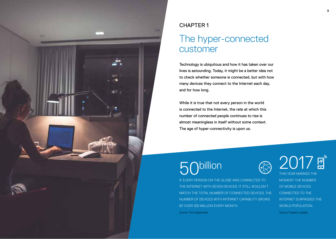

## CHAPTER 1

# The hyper-connected customer

Technology is ubiquitous and how it has taken over our lives is astounding. Today, it might be a better idea not to check whether someone is connected, but with how many devices they connect to the Internet each day, and for how long.

While it is true that not every person in the world is connected to the Internet, the rate at which this number of connected people continues to rise is almost meaningless in itself without some context. The age of hyper-connectivity is upon us.

# billion

IF EVERY PERSON ON THE GLOBE WAS CONNECTED TO THE INTERNET WITH SEVEN DEVICES, IT STILL WOULDN'T MATCH THE TOTAL NUMBER OF CONNECTED DEVICES. THE NUMBER OF DEVICES WITH INTERNET CAPABILITY GROWS BY OVER 320 MILLION EVERY MONTH. Source: The Independent

2017風 THIS YEAR MARKED THE MOMENT THE NUMBER

OF MOBILE DEVICES CONNECTED TO THE INTERNET SURPASSED THE WORLD POPULATION.

Source: Property Update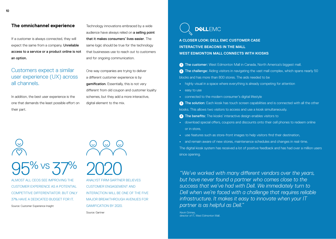#### **The omnichannel experience**

If a customer is always connected, they will expect the same from a company. Unreliable access to a service or a product online is not an option.

## Customers expect a similar user experience (UX) across all channels.

In addition, the best user experience is the one that demands the least possible effort on their part.

Technology innovations embraced by a wide audience have always relied on a selling point that it makes consumers' lives easier. The same logic should be true for the technology that businesses use to reach out to customers and for ongoing communication.

One way companies are trying to deliver a different customer experience is by gamification. Essentially, this is not very different from old coupon and customer loyalty schemes, but they add a more interactive, digital element to the mix.

95% vs 37%

ALMOST ALL CEOS SEE IMPROVING THE CUSTOMER EXPERIENCE AS A POTENTIAL COMPETITIVE DIFFERENTIATOR. BUT ONLY 37% HAVE A DEDICATED BUDGET FOR IT. Source: Customer Experience Insight

2020 ANALYST FIRM GARTNER BELIEVES CUSTOMER ENGAGEMENT AND INTERACTION WILL BE ONE OF THE FIVE

MAJOR BREAKTHROUGH AVENUES FOR GAMIFICATION BY 2020.

Source: Gartner



**A CLOSER LOOK: DELL EMC CUSTOMER CASE INTERACTIVE BEACONS IN THE MALL WEST EDMONTON MALL CONNECTS WITH KIOSKS**

**1** The customer: West Edmonton Mall in Canada, North America's biggest mall.

**2** The challenge: Aiding visitors in navigating the vast mall complex, which spans nearly 50 blocks and has more than 800 stores. The aids needed to be

- **•** highly visual in a space where everything is already competing for attention
- **•** easy to use
- **•** connected to the modern consumer's digital lifestyle

**3** The solution: Each kiosk has touch screen capabilities and is connected with all the other kiosks. This allows two visitors to access and use a kiosk simultaneously.

- **4** The benefits: The kiosks' interactive design enables visitors to
- **•** download special offers, coupons and discounts onto their cell phones to redeem online or in store,
- **•** use features such as store-front images to help visitors find their destination,
- **•** and remain aware of new stores, maintenance schedules and changes in real-time. The digital kiosk system has received a lot of positive feedback and has had over a million users since opening.

*"We've worked with many different vendors over the years, but have never found a partner who comes close to the success that we've had with Dell. We immediately turn to Dell when we're faced with a challenge that requires reliable infrastructure. It makes it easy to innovate when your IT partner is as helpful as Dell."*

Kevin Grimes, director of IT. West Edmonton Mall.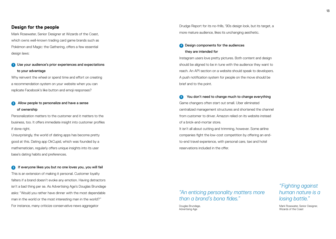#### **Design for the people**

Mark Rosewater, Senior Designer at Wizards of the Coast, which owns well-known trading card game brands such as Pokémon and Magic: the Gathering, offers a few essential design laws:

#### **1** Use your audience's prior experiences and expectations to your advantage

Why reinvent the wheel or spend time and effort on creating a recommendation system on your website when you can replicate Facebook's like button and emoji responses?

#### **2** Allow people to personalize and have a sense of ownership

Personalization matters to the customer and it matters to the business, too. It offers immediate insight into customer profiles if done right.

Unsurprisingly, the world of dating apps has become pretty good at this. Dating app OkCupid, which was founded by a mathematician, regularly offers unique insights into its user base's dating habits and preferences.

**3** If everyone likes you but no one loves you, you will fail This is an extension of making it personal. Customer loyalty falters if a brand doesn't evoke any emotion. Having detractors isn't a bad thing per se. As Advertising Age's Douglas Brundage asks: "Would you rather have dinner with the most dependable man in the world or the most interesting man in the world?" For instance, many criticize conservative news aggregator

Drudge Report for its no-frills, '90s design look, but its target, a more mature audience, likes its unchanging aesthetic.

#### **4** Design components for the audiences they are intended for

Instagram users love pretty pictures. Both content and design should be aligned to be in tune with the audience they want to reach. An API section on a website should speak to developers. A push notification system for people on the move should be brief and to the point.

**5** You don't need to change much to change everything Game changers often start out small. Uber eliminated centralized management structures and shortened the channel from customer to driver. Amazon relied on its website instead of a brick-and-mortar store.

It isn't all about cutting and trimming, however. Some airline companies fight the low-cost competition by offering an endto-end travel experience, with personal care, taxi and hotel reservations included in the offer.

### *"An enticing personality matters more than a brand's bona fides."*

Douglas Brundage, Advertising Age

# *"Fighting against human nature is a losing battle."*

Mark Rosewater, Senior Designer Wizards of the Coast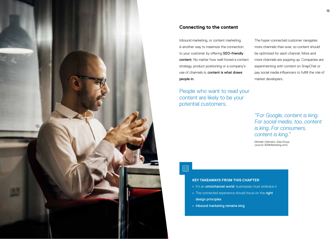

#### **Connecting to the content**

Inbound marketing, or content marketing, is another way to maximize the connection to your customer by offering SEO-friendly content. No matter how well-honed a contact strategy, product positioning or a company's use of channels is, content is what draws people in.

People who want to read your content are likely to be your potential customers.

The hyper-connected customer navigates more channels than ever, so content should be optimized for each channel. More and more channels are popping up. Companies are experimenting with content on SnapChat or pay social media influencers to fulfill the role of market developers.

## *"For Google, content is king. For social media, too, content is king. For consumers, content is king."*

Michael Volkmann, iDea Group (source: B2BMarketing.com)

# 巨

#### **KEY TAKEAWAYS FROM THIS CHAPTER**

- **•** It's an omnichannel world: businesses must embrace it
- **•** The connected experience should focus on the right design principles
- **•** Inbound marketing remains king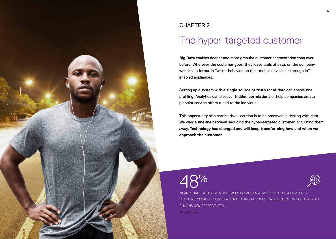

## CHAPTER 2

# The hyper-targeted customer

**Big Data** enables deeper and more granular customer segmentation than ever before. Wherever the customer goes, they leave trails of data: on the company website, in forms, in Twitter behavior, on their mobile devices or through IoTenabled appliances.

Setting up a system with **a single source of truth** for all data can enable fine profiling. Analytics can discover **hidden correlations** or help companies create pinpoint service offers tuned to the individual.

This opportunity also carries risk – caution is to be observed in dealing with data. We walk a fine line between seducing the hyper-targeted customer, or turning them away. **Technology has changed and will keep transforming how and when we approach the customer.**

# 48%



NEARLY HALF OF BIG DATA USE CASES IN SALES AND MARKETING IS DEDICATED TO CUSTOMER ANALYTICS. OPERATIONAL ANALYTICS AND FRAUD DETECTION FOLLOW WITH 21% AND 12%, RESPECTIVELY.

Source: Forbes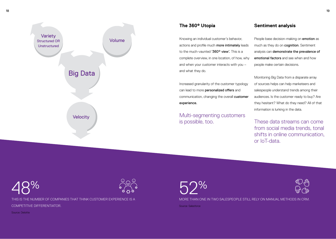

#### **The 360° Utopia**

Knowing an individual customer's behavior, actions and profile much more intimately leads to the much-vaunted '360° view'. This is a complete overview, in one location, of how, why and when your customer interacts with you – and what they do.

Increased granularity of the customer typology can lead to more personalized offers and communication, changing the overall customer experience.

Multi-segmenting customers is possible, too.

#### **Sentiment analysis**

People base decision-making on **emotion** as much as they do on cognition. Sentiment analysis can demonstrate the prevalence of emotional factors and see when and how people make certain decisions.

Monitoring Big Data from a disparate array of sources helps can help marketeers and salespeople understand trends among their audiences. Is the customer ready to buy? Are they hesitant? What do they need? All of that information is lurking in the data.

These data streams can come from social media trends, tonal shifts in online communication, or IoT-data.

 $2\%$ 



THIS IS THE NUMBER OF COMPANIES THAT THINK CUSTOMER EXPERIENCE IS A COMPETITIVE DIFFERENTIATOR.

Source: Deloitte

 $9\%$ 



MORE THAN ONE IN TWO SALESPEOPLE STILL RELY ON MANUAL METHODS IN CRM.

Source: Salesforce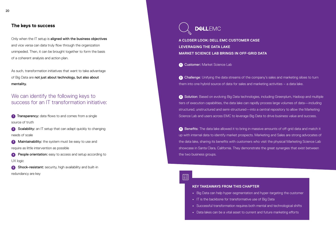Only when the IT setup is aligned with the business objectives and vice versa can data truly flow through the organization unimpeded. Then, it can be brought together to form the basis of a coherent analysis and action plan.

As such, transformation initiatives that want to take advantage of Big Data are not just about technology, but also about mentality.

# We can identify the following keys to success for an IT transformation initiative:

**1** Transparency: data flows to and comes from a single source of truth

**2** Scalability: an IT setup that can adapt quickly to changing needs of scale

**3** Maintainability: the system must be easy to use and require as little intervention as possible

**4** People orientation: easy to access and setup according to UX logic

**5** Shock-resistant: security, high availability and built-in redundancy are key

**DEALLFMC** 

**A CLOSER LOOK: DELL EMC CUSTOMER CASE LEVERAGING THE DATA LAKE MARKET SCIENCE LAB BRINGS IN OFF-GRID DATA**

**1** Customer: Market Science Lab

**2** Challenge: Unifying the data streams of the company's sales and marketing siloes to turn them into one hybrid source of data for sales and marketing activities – a data lake.

**3** Solution: Based on evolving Big Data technologies, including Greenplum, Hadoop and multiple tiers of execution capabilities, the data lake can rapidly process large volumes of data—including structured, unstructured and semi-structured—into a central repository to allow the Marketing Science Lab and users across EMC to leverage Big Data to drive business value and success.

**<sup>4</sup>** Benefits: The data lake allowed it to bring in massive amounts of off-grid data and match it up with internal data to identify market prospects. Marketing and Sales are strong advocates of the data lake, sharing its benefits with customers who visit the physical Marketing Science Lab showcase in Santa Clara, California. They demonstrate the great synergies that exist between the two business groups.

 $\mathbb{E}\mathbf{y}$ 

#### **KEY TAKEAWAYS FROM THIS CHAPTER**

- **•** Big Data can help hyper-segmentation and hyper-targeting the customer
- **•** IT is the backbone for transformative use of Big Data
- **•** Successful transformation requires both mental and technological shifts
- **•** Data lakes can be a vital asset to current and future marketing efforts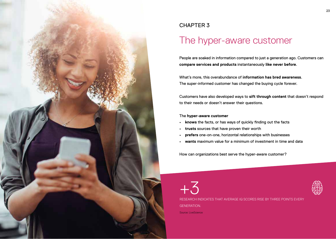

# CHAPTER 3

# The hyper-aware customer

People are soaked in information compared to just a generation ago. Customers can **compare services and products** instantaneously **like never before**.

What's more, this overabundance of **information has bred awareness**. The super-informed customer has changed the buying cycle forever.

Customers have also developed ways to **sift through content** that doesn't respond to their needs or doesn't answer their questions.

#### The **hyper-aware customer**

- **• knows** the facts, or has ways of quickly finding out the facts
- **• trusts** sources that have proven their worth
- **• prefers** one-on-one, horizontal relationships with businesses
- **• wants** maximum value for a minimum of investment in time and data

How can organizations best serve the hyper-aware customer?

+3 RESEARCH INDICATES THAT AVERAGE IQ SCORES RISE BY THREE POINTS EVERY GENERATION. Source: LiveScience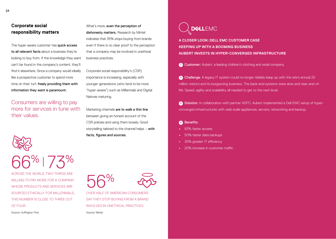#### **Corporate social responsibility matters**

The hyper-aware customer has quick access to all relevant facts about a business they're looking to buy from. If the knowledge they want can't be found in the company's content, they'll find it elsewhere. Since a company would ideally like a prospective customer to spend more time on their turf, freely providing them with information they want is paramount.

Consumers are willing to pay more for services in tune with their values.

 $5\%$  |  $7\sqrt{3}\%$ 

ACROSS THE WORLD, TWO-THIRDS ARE WILLING TO PAY MORE FOR A COMPANY WHOSE PRODUCTS AND SERVICES ARE SOURCED ETHICALLY. FOR MILLENNIALS, THIS NUMBER IS CLOSE TO THREE OUT OF FOUR.

Source: Huffington Post

What's more, even the perception of dishonesty matters. Research by Mintel indicates that 35% stops buying from brands even if there is no clear proof to the perception that a company may be involved in unethical business practices.

Corporate social responsibility's (CSR) importance is increasing, especially with younger generations (who tend to be more "hyper-aware") such as Millennials and Digital Natives maturing.

Marketing channels are to walk a thin line between giving an honest account of the CSR policies and using them loosely. Good storytelling tailored to the channel helps – with facts, figures and sources.

**DELLEMC** 

**A CLOSER LOOK: DELL EMC CUSTOMER CASE KEEPING UP WITH A BOOMING BUSINESS AUBERT INVESTS IN HYPER-CONVERGED INFRASTRUCTURE**

**1** Customer: Aubert, a leading children's clothing and retail company.

**2** Challenge: A legacy IT system could no longer reliably keep up with the site's annual 25 million visitors and its burgeoning business. The back-end systems were slow and near end-oflife. Speed, agility and scalability all needed to get to the next level.

**<sup>3</sup>** Solution: In collaboration with partner ASPC, Aubert implemented a Dell EMC setup of hyperconverged infrastructures with web scale appliances, servers, networking and backup.

#### **<sup>4</sup>** Benefits:

- **•** 83% faster access
- **•** 50% faster data backups
- **•** 30% greater IT efficiency
- **•** 20% increase in customer traffic

56% OVER HALF OF AMERICAN CONSUMERS SAY THEY STOP BUYING FROM A BRAND INVOLVED IN UNETHICAL PRACTICES.

Source: Mintel

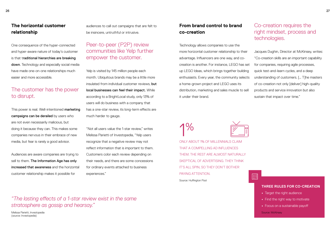#### **The horizontal customer relationship**

One consequence of the hyper-connected and hyper-aware nature of today's customer is that traditional hierarchies are breaking down. Technology and especially social media have made one-on-one relationships much easier and more accessible.

#### The customer has the power to disrupt.

This power is real. Well-intentioned marketing campaigns can be derailed by users who are not even necessarily malicious, but doing it because they can. This makes some companies nervous in their embrace of new media, but fear is rarely a good advisor.

Audiences are aware companies are trying to sell to them. The Information Age has only increased that awareness and the horizontal customer relationship makes it possible for

audiences to call out campaigns that are felt to be insincere, untruthful or intrusive.

### Peer-to-peer (P2P) review communities like Yelp further empower the customer.

Yelp is visited by 145 million people each month. Ubiquitous brands may be a little more insulated from individual customer reviews, but local businesses can feel their impact. While according to a BrightLocal study, only 13% of users will do business with a company that has a one-star review, its long-term effects are much harder to gauge.

"Not all users value the 1-star review," writes Melissa Parietti of Investopedia, "Yelp users recognize that a negative review may not reflect information that is important to them. Customers color each review depending on their needs, and there are some concessions for ordinary events attached to business experiences."

#### **From brand control to brand co-creation**

Technology allows companies to use the more horizontal customer relationship to their advantage. Influencers are one way, and cocreation is another. For instance, LEGO has set up LEGO Ideas, which brings together building enthusiasts. Every year, the community selects a home-grown project and LEGO uses its distribution, marketing and sales muscle to sell it under their brand.

#### Co-creation requires the right mindset, process and technologies.

Jacques Dughin, Director at McKinsey, writes: "Co-creation skills are an important capability for companies, requiring agile processes, quick test-and-learn cycles, and a deep understanding of customers. [… T]he masters of co-creation not only [deliver] high-quality products and service innovation but also sustain that impact over time."

 $\mathsf{I}\%$ ONLY ABOUT 1% OF MILLENNIALS CLAIM

THAT A COMPELLING AD INFLUENCES THEM. THE REST ARE ALMOST NATURALLY SKEPTICAL OF ADVERTISING. THEY THINK IT'S ALL SPIN, SO THEY DON'T BOTHER PAYING ATTENTION. Source: Huffington Post



 $\Xi\check{z}$ 

**THREE RULES FOR CO-CREATION**

- **•** Target the right audience
- **•** Find the right way to motivate
- **•** Focus on a sustainable payoff

Source: McKinsey

#### *"The lasting effects of a 1-star review exist in the same stratosphere as gossip and hearsay."*

Melissa Parietti, Investopedia (source: Investopedia)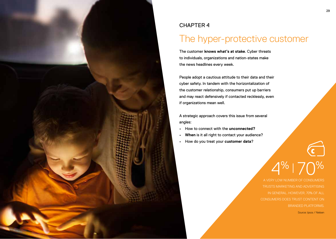

### CHAPTER 4

# The hyper-protective customer

The customer **knows what's at stake**. Cyber threats to individuals, organizations and nation-states make the news headlines every week.

People adopt a cautious attitude to their data and their cyber safety. In tandem with the horizontalization of the customer relationship, consumers put up barriers and may react defensively if contacted recklessly, even if organizations mean well.

A strategic approach covers this issue from several angles:

- **•** How to connect with the **unconnected?**
- **• When** is it all right to contact your audience?
- **•** How do you treat your **customer data**?

A VERY LOW NUMBER OF CONSUMERS TRUSTS MARKETING AND ADVERTISING IN GENERAL. HOWEVER, 70% OF ALL CONSUMERS DOES TRUST CONTENT ON BRANDED PLATFORMS. Source: Ipsos / Nielsen

 $4\%$  | 70%

C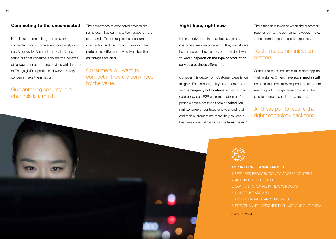#### **Connecting to the unconnected**

Not all customers belong to the hyperconnected group. Some even consciously do not. A survey by Assurant for DealerScope found out that consumers do see the benefits of "always connected" and devices with Internet of Things (IoT) capabilities. However, safety concerns make them hesitant.

#### Guaranteeing security in all channels is a must.

The advantages of connected devices are numerous. They can make tech support more direct and efficient, require less consumer intervention and can impact warranty. The preferences differ per device type, but the advantages are clear.

Consumers will want to connect if they are convinced by the value.

#### **Right here, right now**

It is seductive to think that because many customers are always dialed in, they can always be contacted. They can be, but they don't want to. And it depends on the type of product or service a business offers, too.

Consider this quote from Customer Experience Insight: "For instance, utility customers tend to want emergency notifications texted to their cellular devices, B2B customers often prefer periodic emails notifying them of scheduled maintenance or contract renewals, and retail and tech customers are more likely to keep a keen eye on social media for the latest news."

The situation is inverted when the customer reaches out to the company, however. There, the customer expects quick responses.

#### Real-time communication matters.

Some businesses opt for built-in chat app on their website. Others have social media staff on hand to immediately respond to customers reaching out through these channels. The classic phone channel still exists, too.

#### All these points require the right technology backbone.





# **TOP INTERNET ANNOYANCES** 1. REQUIRED REGISTRATION TO ACCESS CONTENT 2. AUTOMATIC VIDEO ADS 3. CONTENT OPENING IN NEW WINDOWS 4. LINKS THAT ARE ADS 5. BAD INTERNAL SEARCH ENGINES 6. SITE/CHANNEL DESIGNED FOR JUST ONE PLATFORM

Source: PC World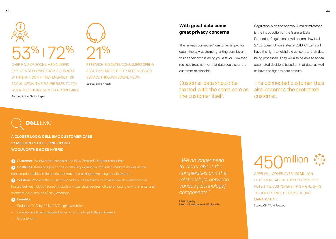

EXPECT A RESPONSE FROM A BUSINESS WITHIN AN HOUR IF THEY ENGAGE IT ON SOCIAL MEDIA. THIS FIGURE RISES TO 72% WHEN THE ENGAGEMENT IS A COMPLAINT. Source: Lithium Technologies



RESEARCH INDICATES CONSUMERS SPEND ABOUT 21% MORE IF THEY RECEIVE GOOD SERVICE THROUGH SOCIAL MEDIA Source: Brand Watch

#### **With great data come great privacy concerns**

The "always connected" customer is gold for data miners. A customer granting permission to use their data is doing you a favor. However, reckless treatment of that data could sour the customer relationship.

Customer data should be treated with the same care as the customer itself.

Regulation is on the horizon. A major milestone is the introduction of the General Data Protection Regulation. It will become law in all 27 European Union states in 2018. Citizens will have the right to withdraw consent to their data being processed. They will also be able to appeal automated decisions based on that data, as well as have the right to data erasure.

The connected customer thus also becomes the protected customer.

**DELLEMC** 

**A CLOSER LOOK: DELL EMC CUSTOMER CASE 27 MILLION PEOPLE, ONE CLOUD WOOLWORTHS GOES HYBRID**

**2** Challenge: Keeping up with the continuing expansion into Asian markets as well as the consumption habits in domestic markets, by breaking down a legacy silo system.

**1** Customer: Woolworths, Australia and New Zealand's largest retail chain

**3** Solution: Woolworths is using two Vblock 720 systems to govern how its workloads are hosted between cloud "zones", including virtual data centres, offshore hosting environments, and software-as-a-service (SaaS) offerings.

#### **<sup>4</sup>** Benefits:

- **•** Reduced TCO by 25%, 24/7 high availability
- **•** Provisioning time is reduced from 6 months to as little as 6 weeks
- **•** Groundwork

*"We no longer need to worry about the complexities and the relationships between various [technology] components."*

Matt Chamley Head of Infrastructure, Woolworths

# millior EU

GDPR WILL COVER OVER 450 MILLION EU CITIZENS, ALL OF THEM CURRENT OR POTENTIAL CUSTOMERS. THIS HIGHLIGHTS THE IMPORTANCE OF CAREFUL DATA MANAGEMENT.

Source: CIA World Factbook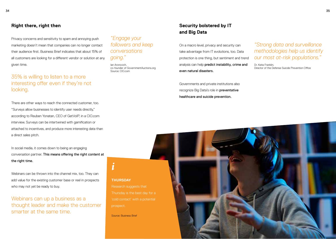#### **Right there, right then**

Privacy concerns and sensitivity to spam and annoying push marketing doesn't mean that companies can no longer contact their audience first. Business Brief indicates that about 15% of all customers are looking for a different vendor or solution at any given time.

# 35% is willing to listen to a more interesting offer even if they're not looking.

There are other ways to reach the connected customer, too. "Surveys allow businesses to identify user needs directly," according to Reuben Yonatan, CEO of GetVoIP, in a CIO.com interview. Surveys can be intertwined with gamification or attached to incentives, and produce more interesting data than a direct sales pitch.

In social media, it comes down to being an engaging conversation partner. This means offering the right content at the right time.

Webinars can be thrown into the channel mix, too. They can add value for the existing customer base or reel in prospects who may not yet be ready to buy.

Webinars can up a business as a thought leader and make the customer smarter at the same time.

# *"Engage your followers and keep conversations going."*

Ian Aronovich, co-founder of GovernmentAuctions.org Source: CIO.com

**THURSDAY**

*i*

prospect.

Source: Business Brief

#### **Security bolstered by IT and Big Data**

On a macro level, privacy and security can take advantage from IT evolutions, too. Data protection is one thing, but sentiment and trend analysis can help predict instability, crime and even natural disasters.

Governments and private institutions also recognize Big Data's role in preventative healthcare and suicide prevention.

*"Strong data and surveillance methodologies help us identify our most at-risk populations."* 

Dr. Keita Franklin, Director of the Defense Suicide Prevention Office

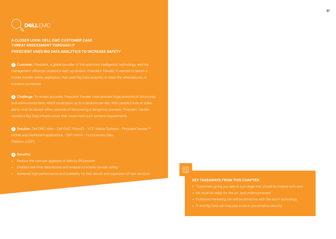

#### **A CLOSER LOOK: DELL EMC CUSTOMER CASE THREAT ASSESSMENT THROUGH IT PRESCIENT USES BIG DATA ANALYTICS TO INCREASE SAFETY**

**1** Customer: Prescient, a global provider of full-spectrum intelligence, technology, and risk management offerings, created a start-up division, Prescient Traveler. It wanted to launch a travelers worldwide.

**2** Challenge: To remain accurate, Prescient Traveler must process huge amounts of structured and unstructured data, which could grow up to a terabyte per day. With people's lives at stake, alerts must be issued within seconds of discovering a dangerous scenario. Prescient Traveler

**<sup>3</sup>** Solution: Dell EMC Isilon • Dell EMC XtremIO • VCE Vblock Systems • PrescientTraveler™ Mobile and Dashboard applications • SAP HANA • Hortonworks Data Platform (HDP)

#### **<sup>4</sup>** Benefits:

- **•** Reduce the cost per gigabyte of data by 84 percent
- **•** Enabled real-time data access and analysis to ensure traveler safety
- 

 $\overline{\equiv}$ ğ

#### **KEY TAKEAWAYS FROM THIS CHAPTER**

- **•** Customers giving you data is a privilege that should be treated with care
- **•** We must be ready for the un- and underconnected
- **•** Outbound marketing can still be attractive with the aid of technology
-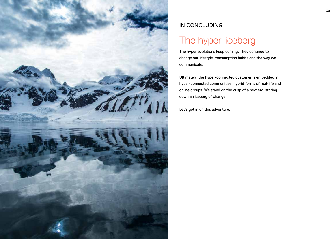

# IN CONCLUDING

# The hyper-iceberg

The hyper evolutions keep coming. They continue to change our lifestyle, consumption habits and the way we communicate.

Ultimately, the hyper-connected customer is embedded in hyper-connected communities, hybrid forms of real-life and online groups. We stand on the cusp of a new era, staring down an iceberg of change.

Let's get in on this adventure.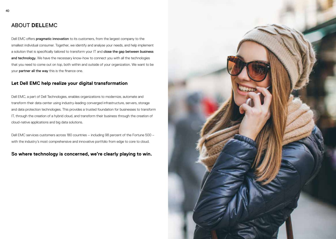### ABOUT **DELL**EMC

Dell EMC offers **pragmatic innovation** to its customers, from the largest company to the smallest individual consumer. Together, we identify and analyse your needs, and help implement a solution that is specifically tailored to transform your IT and close the gap between business and technology. We have the necessary know-how to connect you with all the technologies that you need to come out on top, both within and outside of your organization. We want to be your partner all the way this is the finance one.

#### **Let Dell EMC help realize your digital transformation**

Dell EMC, a part of Dell Technologies, enables organizations to modernize, automate and transform their data center using industry-leading converged infrastructure, servers, storage and data protection technologies. This provides a trusted foundation for businesses to transform IT, through the creation of a hybrid cloud, and transform their business through the creation of cloud-native applications and big data solutions.

Dell EMC services customers across 180 countries – including 98 percent of the Fortune 500 – with the industry's most comprehensive and innovative portfolio from edge to core to cloud.

**So where technology is concerned, we're clearly playing to win.**

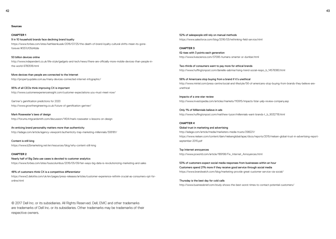**Sources**

**CHAPTER 1** 9 in 10 household brands face declining brand loyalty https://www.forbes.com/sites/kathleenkusek/2016/07/25/the-death-of-brand-loyalty-cultural-shifts-mean-its-goneforever/#337cf05d4dde

50 billion devices online http://www.independent.co.uk/life-style/gadgets-and-tech/news/there-are-officially-more-mobile-devices-than-people-inthe-world-9780518.html

More devices than people are connected to the Internet http://propertyupdate.com.au/many-devices-connected-internet-infographic/

95% of all CEOs think improving CX is important http://www.customerexperienceinsight.com/customer-expectations-you-must-meet-now/

Gartner's gamification predictions for 2020 http://www.growthengineering.co.uk/future-of-gamification-gartner/

Mark Rosewater's laws of design http://forums.mtgcardsmith.com/discussion/1404/mark-rosewater-s-lessons-on-design

An enticing brand personality matters more than authenticity http://adage.com/article/agency-viewpoint/authenticity-trap-marketing-millennials/306181/

Content is still king https://www.b2bmarketing.net/en/resources/blog/why-content-still-king

#### **CHAPTER 2**

Nearly half of Big Data use cases is devoted to customer analytics https://www.forbes.com/sites/louiscolumbus/2016/05/09/ten-ways-big-data-is-revolutionizing-marketing-and-sales

48% of customers think CX is a competitive differentiator https://www2.deloitte.com/uk/en/pages/press-releases/articles/customer-experience-rethink-crucial-as-consumers-opt-foronline.html

52% of salespeople still rely on manual methods https://www.salesforce.com/blog/2016/03/rethinking-field-service.html

**CHAPTER 3** IQ rises with 3 points each generation http://www.livescience.com/37095-humans-smarter-or-dumber.html

Two-thirds of consumers want to pay more for ethical brands http://www.huffingtonpost.com/danielle-sabrina/rising-trend-social-respo\_b\_14578380.html

56% of Americans stop buying from a brand if it's unethical http://www.mintel.com/press-centre/social-and-lifestyle/56-of-americans-stop-buying-from-brands-they-believe-areunethical

Impacts of a one-star review http://www.investopedia.com/articles/markets/110915/impacts-1star-yelp-review-company.asp

Only 1% of Millennials believe in ads http://www.huffingtonpost.com/matthew-tyson/millennials-want-brands-t\_b\_9032718.html

#### **CHAPTER 4**

Global trust in marketing and advertising http://adage.com/article/media/marketers-media-trusts/298221/ https://www.nielsen.com/content/dam/nielsenglobal/apac/docs/reports/2015/nielsen-global-trust-in-advertising-reportseptember-2015.pdf

Top Internet annoyances http://www.pcworld.com/article/189198/Fix\_Internet\_Annoyances.html

53% of customers expect social media responses from businesses within an hour Customers spend 21% more if they receive good service through social media https://www.brandwatch.com/blog/marketing-provide-great-customer-service-via-social/

Thursday is the best day for cold calls http://www.businessbrief.com/study-shows-the-best-worst-times-to-contact-potential-customers/

© 2017 Dell Inc. or its subsidiaries. All Rights Reserved. Dell, EMC and other trademarks are trademarks of Dell Inc. or its subsidiaries. Other trademarks may be trademarks of their respective owners.